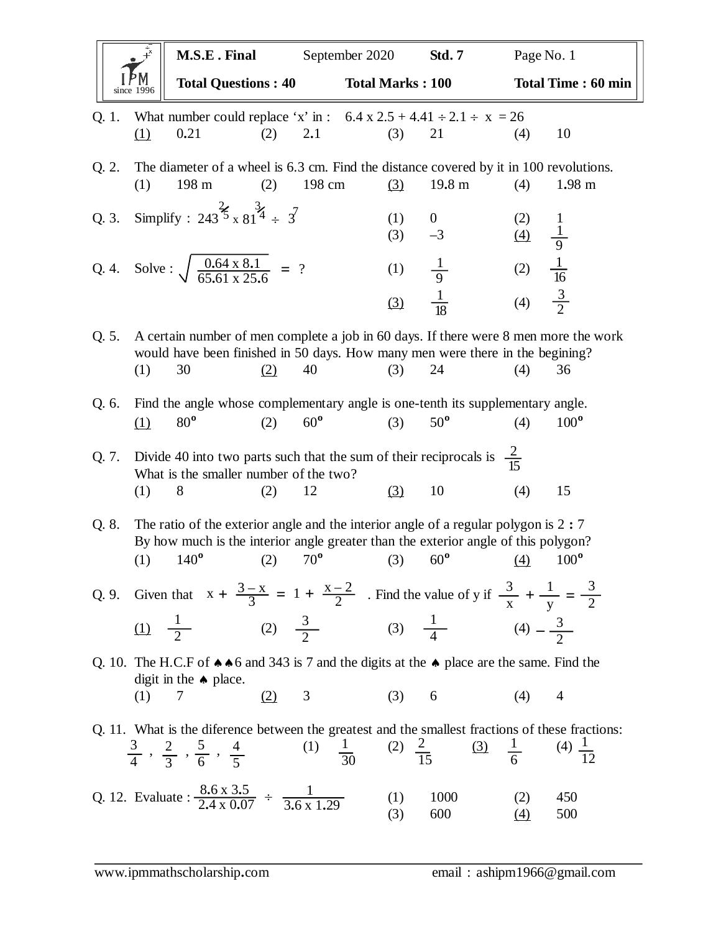|       |                                                                                                                                                    | M.S.E. Final                                                                                                                                                                                |                     | September 2020 |                         | <b>Std. 7</b>                                                              | Page No. 1                                                                        |                           |
|-------|----------------------------------------------------------------------------------------------------------------------------------------------------|---------------------------------------------------------------------------------------------------------------------------------------------------------------------------------------------|---------------------|----------------|-------------------------|----------------------------------------------------------------------------|-----------------------------------------------------------------------------------|---------------------------|
|       | since 1996                                                                                                                                         | <b>Total Questions: 40</b>                                                                                                                                                                  |                     |                | <b>Total Marks: 100</b> |                                                                            |                                                                                   | <b>Total Time: 60 min</b> |
| Q. 1. |                                                                                                                                                    | What number could replace 'x' in : $6.4 \times 2.5 + 4.41 \div 2.1 \div x = 26$                                                                                                             |                     |                |                         |                                                                            |                                                                                   |                           |
|       | $\Omega$                                                                                                                                           | 0.21                                                                                                                                                                                        | 2.1<br>(2)          |                | (3)                     | 21                                                                         | (4)                                                                               | 10                        |
| Q. 2. | (1)                                                                                                                                                | The diameter of a wheel is 6.3 cm. Find the distance covered by it in 100 revolutions.<br>198 m                                                                                             | (2)                 | 198 cm         | (3)                     | 19.8 m                                                                     | (4)                                                                               | $1.98 \text{ m}$          |
| Q. 3. |                                                                                                                                                    | Simplify : 243 <sup>3</sup> / <sub>3</sub> x 81 <sup>3</sup> / <sub>4</sub> ÷ 3 <sup>7</sup>                                                                                                |                     |                | (1)<br>(3)              | $\overline{0}$<br>$-3$                                                     | (2)                                                                               |                           |
|       |                                                                                                                                                    | Q. 4. Solve : $\sqrt{\frac{0.64 \times 8.1}{65.61 \times 25.6}}$ = ?                                                                                                                        |                     |                | (1)                     | $\frac{1}{9}$ $\frac{1}{18}$                                               | (2) $\frac{1}{9}$<br>(4) $\frac{1}{9}$<br>(2) $\frac{1}{16}$<br>(4) $\frac{3}{2}$ |                           |
|       |                                                                                                                                                    |                                                                                                                                                                                             |                     |                | (3)                     |                                                                            |                                                                                   |                           |
| Q. 5. | (1)                                                                                                                                                | A certain number of men complete a job in 60 days. If there were 8 men more the work<br>would have been finished in 50 days. How many men were there in the begining?<br>30                 | 40<br>(2)           |                | (3)                     | 24                                                                         | (4)                                                                               | 36                        |
| Q. 6. |                                                                                                                                                    | Find the angle whose complementary angle is one-tenth its supplementary angle.                                                                                                              |                     |                |                         |                                                                            |                                                                                   |                           |
|       | (1)                                                                                                                                                | $80^{\circ}$                                                                                                                                                                                | $60^{\circ}$<br>(2) |                | (3)                     | $50^{\circ}$                                                               | (4)                                                                               | $100^{\circ}$             |
| Q. 7. |                                                                                                                                                    | Divide 40 into two parts such that the sum of their reciprocals is $\frac{2}{15}$<br>What is the smaller number of the two?                                                                 |                     |                |                         |                                                                            |                                                                                   |                           |
|       | (1)                                                                                                                                                | 8                                                                                                                                                                                           | 12<br>(2)           |                | (3)                     | 10                                                                         | (4)                                                                               | 15                        |
| Q. 8. | (1)                                                                                                                                                | The ratio of the exterior angle and the interior angle of a regular polygon is $2:7$<br>By how much is the interior angle greater than the exterior angle of this polygon?<br>$140^{\circ}$ | $70^{\circ}$<br>(2) |                | (3)                     | $60^{\circ}$                                                               | (4)                                                                               | $100^{\circ}$             |
|       |                                                                                                                                                    | Q. 9. Given that $x + \frac{3-x}{3} = 1 + \frac{x-2}{2}$ . Find the value of y if $\frac{3}{x} + \frac{1}{y} = \frac{3}{2}$                                                                 |                     |                |                         |                                                                            |                                                                                   |                           |
|       |                                                                                                                                                    | (1) $\frac{1}{2}$ (2) $\frac{3}{2}$ (3) $\frac{1}{4}$ (4) $-\frac{3}{2}$                                                                                                                    |                     |                |                         |                                                                            |                                                                                   |                           |
|       | Q. 10. The H.C.F of $\triangle A$ 6 and 343 is 7 and the digits at the $\triangle A$ place are the same. Find the<br>digit in the $\bullet$ place. |                                                                                                                                                                                             |                     |                |                         |                                                                            |                                                                                   |                           |
|       | (1)                                                                                                                                                | 7                                                                                                                                                                                           | 3<br>(2)            |                | (3) 6                   |                                                                            | (4)                                                                               | $\overline{4}$            |
|       |                                                                                                                                                    | Q. 11. What is the diference between the greatest and the smallest fractions of these fractions:<br>$\frac{3}{4}$ , $\frac{2}{3}$ , $\frac{5}{6}$ , $\frac{4}{5}$                           |                     |                |                         | (1) $\frac{1}{30}$ (2) $\frac{2}{15}$ (3) $\frac{1}{6}$ (4) $\frac{1}{12}$ |                                                                                   |                           |
|       |                                                                                                                                                    | Q. 12. Evaluate : $\frac{8.6 \times 3.5}{2.4 \times 0.07} \div \frac{1}{3.6 \times 1.29}$                                                                                                   |                     |                | (1)<br>(3)              | 1000<br>600                                                                | (2)<br><u>(4)</u>                                                                 | 450<br>500                |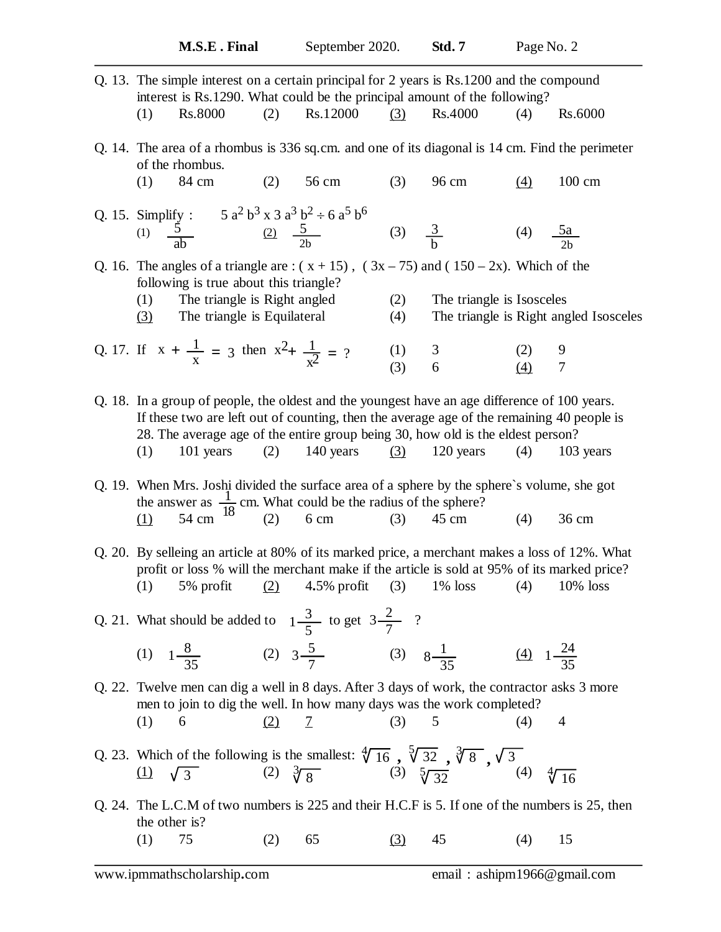| Q. 13. The simple interest on a certain principal for 2 years is Rs.1200 and the compound<br>interest is Rs.1290. What could be the principal amount of the following?                                                                                                                                                                               |               |                |                                        |                       |                  |  |  |  |
|------------------------------------------------------------------------------------------------------------------------------------------------------------------------------------------------------------------------------------------------------------------------------------------------------------------------------------------------------|---------------|----------------|----------------------------------------|-----------------------|------------------|--|--|--|
| (2)<br><b>Rs.8000</b><br>(1)                                                                                                                                                                                                                                                                                                                         | Rs.12000      | (3)            | Rs.4000                                | (4)                   | Rs.6000          |  |  |  |
| Q. 14. The area of a rhombus is 336 sq.cm. and one of its diagonal is 14 cm. Find the perimeter<br>of the rhombus.                                                                                                                                                                                                                                   |               |                |                                        |                       |                  |  |  |  |
| (1)<br>84 cm<br>(2)                                                                                                                                                                                                                                                                                                                                  | 56 cm         | (3)            | 96 cm                                  | $\left(4\right)$      | $100 \text{ cm}$ |  |  |  |
| Q. 15. Simplify : $5a^2b^3 \times 3a^3b^2 \div 6a^5b^6$<br>(1) $\frac{5}{ab}$ $\frac{(2)}{2b}$ $\frac{5}{2b}$ (3) $\frac{3}{b}$                                                                                                                                                                                                                      |               |                |                                        |                       |                  |  |  |  |
|                                                                                                                                                                                                                                                                                                                                                      |               |                |                                        | (4) $\frac{5a}{2b}$   |                  |  |  |  |
| Q. 16. The angles of a triangle are : $(x + 15)$ , $(3x - 75)$ and $(150 - 2x)$ . Which of the<br>following is true about this triangle?                                                                                                                                                                                                             |               |                |                                        |                       |                  |  |  |  |
| The triangle is Right angled<br>(1)                                                                                                                                                                                                                                                                                                                  |               | (2)            | The triangle is Isosceles              |                       |                  |  |  |  |
| The triangle is Equilateral<br>(3)                                                                                                                                                                                                                                                                                                                   |               | (4)            | The triangle is Right angled Isosceles |                       |                  |  |  |  |
| Q. 17. If $x + \frac{1}{x} = 3$ then $x^2 + \frac{1}{x^2} = ?$                                                                                                                                                                                                                                                                                       |               |                |                                        | (2)                   | 9                |  |  |  |
|                                                                                                                                                                                                                                                                                                                                                      |               | $(1)$<br>$(3)$ | $\begin{array}{c} 3 \\ 6 \end{array}$  | $\left( 4\right)$     | $\boldsymbol{7}$ |  |  |  |
| Q. 18. In a group of people, the oldest and the youngest have an age difference of 100 years.<br>If these two are left out of counting, then the average age of the remaining 40 people is<br>28. The average age of the entire group being 30, how old is the eldest person?<br>101 years (2) 140 years (3)<br>(1)<br>120 years<br>(4)<br>103 years |               |                |                                        |                       |                  |  |  |  |
| Q. 19. When Mrs. Joshi divided the surface area of a sphere by the sphere's volume, she got<br>the answer as $\frac{1}{18}$ cm. What could be the radius of the sphere?<br>$54 \text{ cm}^{10}$ (2) 6 cm (3) 45 cm<br>(1)                                                                                                                            |               |                |                                        | (4)                   | 36 cm            |  |  |  |
| Q. 20. By selleing an article at 80% of its marked price, a merchant makes a loss of 12%. What<br>profit or loss % will the merchant make if the article is sold at 95% of its marked price?<br>5% profit (2) 4.5% profit (3) 1% loss (4) 10% loss<br>(1)                                                                                            |               |                |                                        |                       |                  |  |  |  |
| Q. 21. What should be added to $1\frac{3}{5}$ to get $3\frac{2}{7}$ ?                                                                                                                                                                                                                                                                                |               |                |                                        |                       |                  |  |  |  |
| (1) $1\frac{8}{35}$ (2) $3\frac{5}{7}$ (3) $8\frac{1}{35}$                                                                                                                                                                                                                                                                                           |               |                |                                        | (4) $1-\frac{24}{35}$ |                  |  |  |  |
| Q. 22. Twelve men can dig a well in 8 days. After 3 days of work, the contractor asks 3 more<br>men to join to dig the well. In how many days was the work completed?<br>(1)<br>6<br><u>(2)</u>                                                                                                                                                      | $\mathcal{I}$ | (3)            | 5                                      | (4)                   | 4                |  |  |  |
| Q. 23. Which of the following is the smallest: $\sqrt[4]{16}$ , $\sqrt[5]{32}$ , $\sqrt[3]{8}$ , $\sqrt{3}$<br>(1) $\sqrt{3}$ (2) $\sqrt[3]{8}$ (3) $\sqrt[5]{32}$ (3) $\sqrt[5]{32}$ (4)                                                                                                                                                            |               |                |                                        |                       | $\sqrt[4]{16}$   |  |  |  |
| Q. 24. The L.C.M of two numbers is 225 and their H.C.F is 5. If one of the numbers is 25, then                                                                                                                                                                                                                                                       |               |                |                                        |                       |                  |  |  |  |
| the other is?<br>75<br>(1)<br>(2)                                                                                                                                                                                                                                                                                                                    | 65            | (3)            | 45                                     | (4)                   | 15               |  |  |  |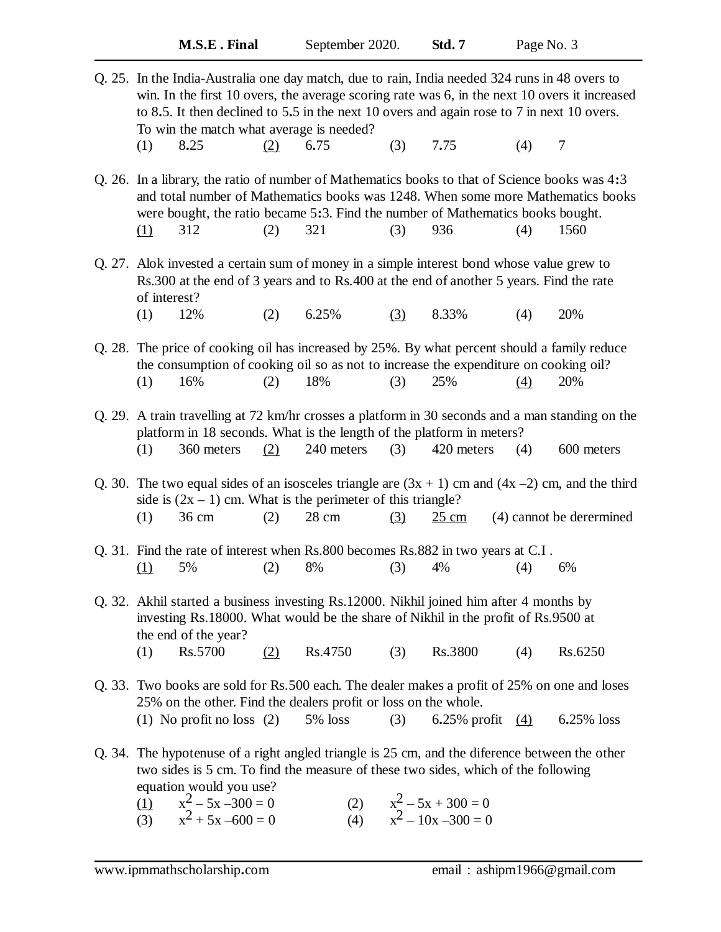|        | Q. 25. In the India-Australia one day match, due to rain, India needed 324 runs in 48 overs to<br>win. In the first 10 overs, the average scoring rate was 6, in the next 10 overs it increased<br>to 8.5. It then declined to 5.5 in the next 10 overs and again rose to 7 in next 10 overs.<br>To win the match what average is needed? |     |         |     |                    |                  |            |  |
|--------|-------------------------------------------------------------------------------------------------------------------------------------------------------------------------------------------------------------------------------------------------------------------------------------------------------------------------------------------|-----|---------|-----|--------------------|------------------|------------|--|
|        | 8.25<br>(1)                                                                                                                                                                                                                                                                                                                               | (2) | 6.75    | (3) | 7.75               | (4)              | 7          |  |
|        | Q. 26. In a library, the ratio of number of Mathematics books to that of Science books was 4:3<br>and total number of Mathematics books was 1248. When some more Mathematics books<br>were bought, the ratio became 5:3. Find the number of Mathematics books bought.<br>312<br><u>(1)</u>                                                | (2) | 321     | (3) | 936                | (4)              | 1560       |  |
|        | Q. 27. Alok invested a certain sum of money in a simple interest bond whose value grew to<br>Rs.300 at the end of 3 years and to Rs.400 at the end of another 5 years. Find the rate<br>of interest?                                                                                                                                      |     |         |     |                    |                  |            |  |
|        | (1)<br>12%                                                                                                                                                                                                                                                                                                                                | (2) | 6.25%   | (3) | 8.33%              | (4)              | 20%        |  |
|        | Q. 28. The price of cooking oil has increased by 25%. By what percent should a family reduce<br>the consumption of cooking oil so as not to increase the expenditure on cooking oil?<br>(1)<br>16%                                                                                                                                        | (2) | 18%     | (3) | 25%                | $\left(4\right)$ | 20%        |  |
|        | Q. 29. A train travelling at 72 km/hr crosses a platform in 30 seconds and a man standing on the<br>platform in 18 seconds. What is the length of the platform in meters?<br>240 meters<br>420 meters<br>360 meters<br>(3)<br>(4)<br>(1)<br>(2)<br>600 meters                                                                             |     |         |     |                    |                  |            |  |
|        | Q. 30. The two equal sides of an isosceles triangle are $(3x + 1)$ cm and $(4x - 2)$ cm, and the third<br>side is $(2x - 1)$ cm. What is the perimeter of this triangle?<br>36 cm<br>28 cm<br>(2)<br>(4) cannot be derermined<br>(1)<br>(3)<br>$25 \text{ cm}$                                                                            |     |         |     |                    |                  |            |  |
|        | Q. 31. Find the rate of interest when Rs.800 becomes Rs.882 in two years at C.I.<br>(1)<br>5%                                                                                                                                                                                                                                             | (2) | 8%      | (3) | 4%                 | (4)              | 6%         |  |
|        | Q. 32. Akhil started a business investing Rs.12000. Nikhil joined him after 4 months by<br>investing Rs.18000. What would be the share of Nikhil in the profit of Rs.9500 at<br>the end of the year?                                                                                                                                      |     |         |     |                    |                  |            |  |
|        | Rs.5700<br>(1)                                                                                                                                                                                                                                                                                                                            | (2) | Rs.4750 | (3) | Rs.3800            | (4)              | Rs.6250    |  |
| Q. 33. | Two books are sold for Rs.500 each. The dealer makes a profit of 25% on one and loses<br>25% on the other. Find the dealers profit or loss on the whole.                                                                                                                                                                                  |     |         |     |                    |                  |            |  |
|        | (1) No profit no loss $(2)$                                                                                                                                                                                                                                                                                                               |     | 5% loss | (3) | 6.25% profit $(4)$ |                  | 6.25% loss |  |
|        | Q. 34. The hypotenuse of a right angled triangle is 25 cm, and the diference between the other<br>two sides is 5 cm. To find the measure of these two sides, which of the following<br>equation would you use?<br>(2) $x^2 - 5x + 300 = 0$                                                                                                |     |         |     |                    |                  |            |  |
|        | $x_2^2 - 5x - 300 = 0$<br>(1)                                                                                                                                                                                                                                                                                                             |     |         |     |                    |                  |            |  |

(3)  $x^2 + 5x -600 = 0$  (4) x (4)  $x^2 - 10x - 300 = 0$